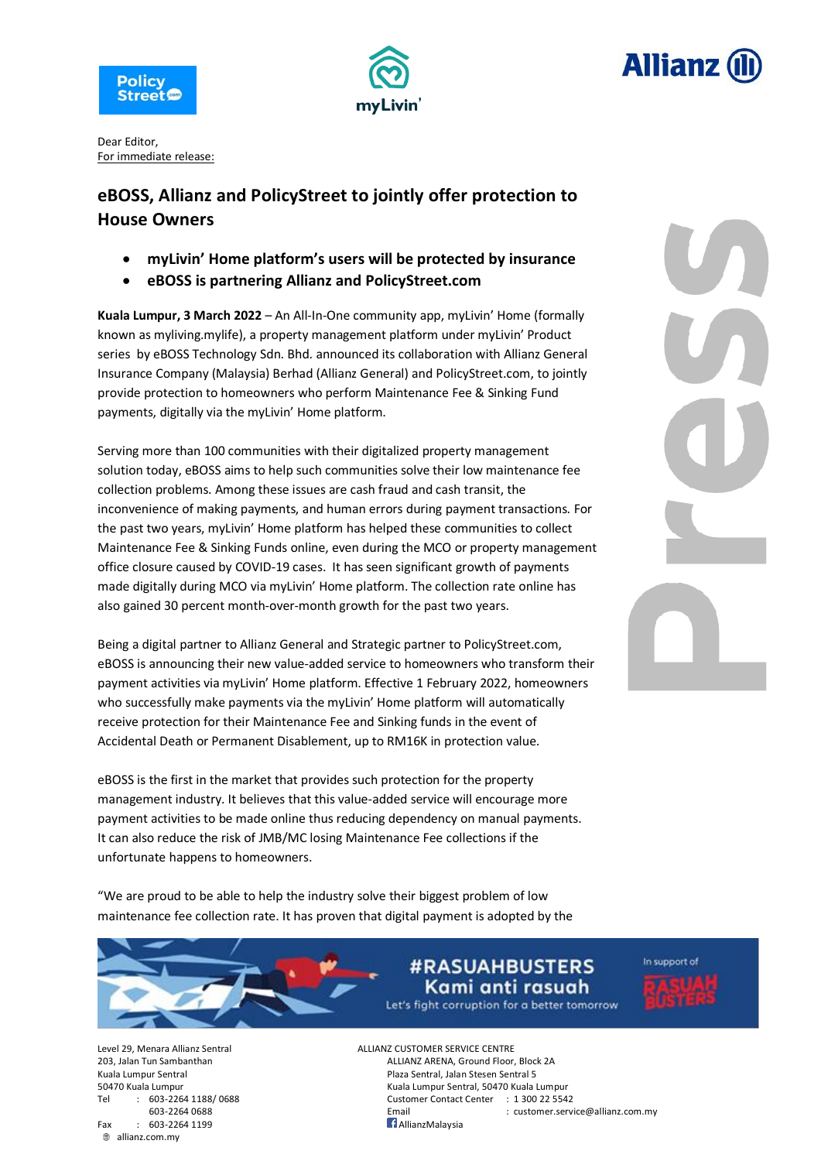





Dear Editor, For immediate release:

## **eBOSS, Allianz and PolicyStreet to jointly offer protection to House Owners**

- **myLivin' Home platform's users will be protected by insurance**
- **eBOSS is partnering Allianz and PolicyStreet.com**

**Kuala Lumpur, 3 March 2022** – An All-In-One community app, myLivin' Home (formally known as myliving.mylife), a property management platform under myLivin' Product series by eBOSS Technology Sdn. Bhd. announced its collaboration with Allianz General Insurance Company (Malaysia) Berhad (Allianz General) and PolicyStreet.com, to jointly provide protection to homeowners who perform Maintenance Fee & Sinking Fund payments, digitally via the myLivin' Home platform.

Serving more than 100 communities with their digitalized property management solution today, eBOSS aims to help such communities solve their low maintenance fee collection problems. Among these issues are cash fraud and cash transit, the inconvenience of making payments, and human errors during payment transactions. For the past two years, myLivin' Home platform has helped these communities to collect Maintenance Fee & Sinking Funds online, even during the MCO or property management office closure caused by COVID-19 cases. It has seen significant growth of payments made digitally during MCO via myLivin' Home platform. The collection rate online has also gained 30 percent month-over-month growth for the past two years.

Being a digital partner to Allianz General and Strategic partner to PolicyStreet.com, eBOSS is announcing their new value-added service to homeowners who transform their payment activities via myLivin' Home platform. Effective 1 February 2022, homeowners who successfully make payments via the myLivin' Home platform will automatically receive protection for their Maintenance Fee and Sinking funds in the event of Accidental Death or Permanent Disablement, up to RM16K in protection value.

eBOSS is the first in the market that provides such protection for the property management industry. It believes that this value-added service will encourage more payment activities to be made online thus reducing dependency on manual payments. It can also reduce the risk of JMB/MC losing Maintenance Fee collections if the unfortunate happens to homeowners.

"We are proud to be able to help the industry solve their biggest problem of low maintenance fee collection rate. It has proven that digital payment is adopted by the

> **#RASUAHBUSTERS** Kami anti rasuah Let's fight corruption for a better tomorrow



Tel : 603-2264 1188/ 0688 Customer Contact Center : 1 300 22 5542 Fax : 603-2264 1199 **AllianzMalaysia** allianz.com.my

Level 29, Menara Allianz Sentral ALLIANZ CUSTOMER SERVICE CENTRE 203, Jalan Tun Sambanthan ALLIANZ ARENA, Ground Floor, Block 2A Kuala Lumpur Sentral **Plaza Sentral**, Jalan Stesen Sentral 5 50470 Kuala Lumpur Kuala Lumpur Sentral, 50470 Kuala Lumpur

603-2264 0688 Email : customer.service@allianz.com.my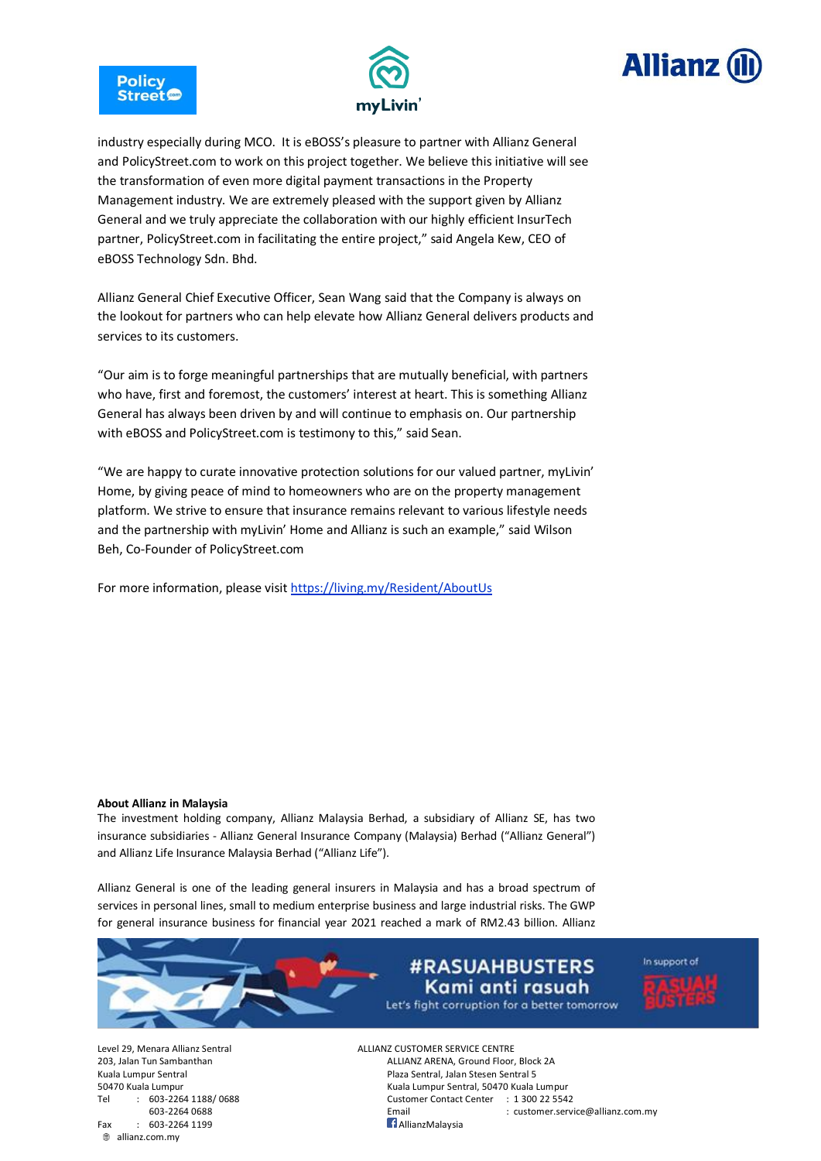





industry especially during MCO. It is eBOSS's pleasure to partner with Allianz General and PolicyStreet.com to work on this project together. We believe this initiative will see the transformation of even more digital payment transactions in the Property Management industry. We are extremely pleased with the support given by Allianz General and we truly appreciate the collaboration with our highly efficient InsurTech partner, PolicyStreet.com in facilitating the entire project," said Angela Kew, CEO of eBOSS Technology Sdn. Bhd.

Allianz General Chief Executive Officer, Sean Wang said that the Company is always on the lookout for partners who can help elevate how Allianz General delivers products and services to its customers.

"Our aim is to forge meaningful partnerships that are mutually beneficial, with partners who have, first and foremost, the customers' interest at heart. This is something Allianz General has always been driven by and will continue to emphasis on. Our partnership with eBOSS and PolicyStreet.com is testimony to this," said Sean.

"We are happy to curate innovative protection solutions for our valued partner, myLivin' Home, by giving peace of mind to homeowners who are on the property management platform. We strive to ensure that insurance remains relevant to various lifestyle needs and the partnership with myLivin' Home and Allianz is such an example," said Wilson Beh, Co-Founder of PolicyStreet.com

For more information, please visit <https://living.my/Resident/AboutUs>

## **About Allianz in Malaysia**

The investment holding company, Allianz Malaysia Berhad, a subsidiary of Allianz SE, has two insurance subsidiaries - Allianz General Insurance Company (Malaysia) Berhad ("Allianz General") and Allianz Life Insurance Malaysia Berhad ("Allianz Life").

Allianz General is one of the leading general insurers in Malaysia and has a broad spectrum of services in personal lines, small to medium enterprise business and large industrial risks. The GWP for general insurance business for financial year 2021 reached a mark of RM2.43 billion. Allianz



Fax : 603-2264 1199 **AllianzMalaysia** allianz.com.my

Level 29, Menara Allianz Sentral ALLIANZ CUSTOMER SERVICE CENTRE 203, Jalan Tun Sambanthan ALLIANZ ARENA, Ground Floor, Block 2A Kuala Lumpur Sentral **Plaza Sentral, Jalan Stesen Sentral 5** 50470 Kuala Lumpur Kuala Lumpur Sentral, 50470 Kuala Lumpur Tel : 603-2264 1188/ 0688 Customer Contact Center : 1 300 22 5542 603-2264 0688 Email : customer.service@allianz.com.my